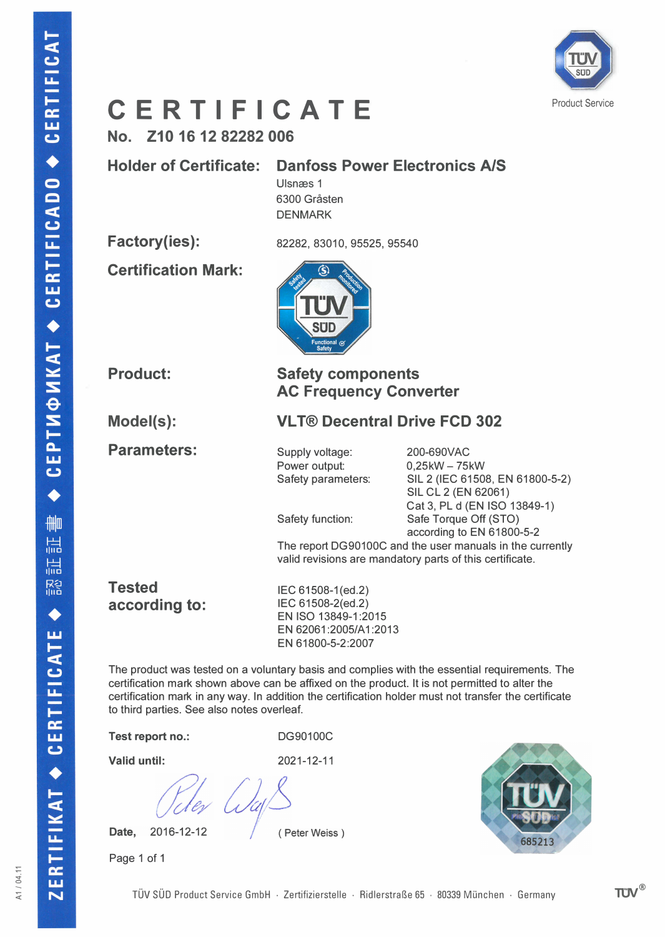# Model(s): Parameters: **Tested** according to: Test report no.: Valid until:

2016-12-12 Date,

Page 1 of 1

Holder of Certificate: Danfoss Power Electronics AlS

Ulsnæs 1 6300 Gråsten DENMARK

Certification Mark:

Factory(ies):

CERTIFICAT

 $\bullet$ 

**CERTIFICADO** 

СЕРТИФИКАТ +

 $\blacklozenge$ 

删 温 温 R名

 $\blacklozenge$ 

CERTIFICATE

 $\ddot{\bullet}$ 

RTIFIKAT

ш  $\overline{\mathbf{N}}$  No. Z10 16 12 82282 006

82282, 83010, 95525, 95540



Product:

#### Safety components AC Frequency Converter

**VLT® Decentral Drive FCD 302** 

Supply voltage: Power output: Safety parameters:

Safety function:

200-690VAC  $0,25kW - 75kW$ SIL 2 (IEC 61508, EN 61800-5-2) SIL CL 2 (EN 62061) Cat 3, PL d (EN ISO 13849-1) Safe Torque Off (STO) according to EN 61800-5-2

The report DG90100C and the user manuals in the currently valid revisions are mandatory parts of this certificate.

IEC 61508-1(ed.2) IEC 61508-2(ed.2) EN ISO 13849-1:2015 EN 62061:2005/A1:2013 EN 61800-5-2:2007

The product was tested on a voluntary basis and complies with the essential requirements. The certification mark shown above can be affixed on the product. It is not permitted to alter the certification mark in any way. In addition the certification holder must not transfer the certificate to third parties. See also notes overleaf.

DG90100C

2021-12-11

(Peter Weiss)